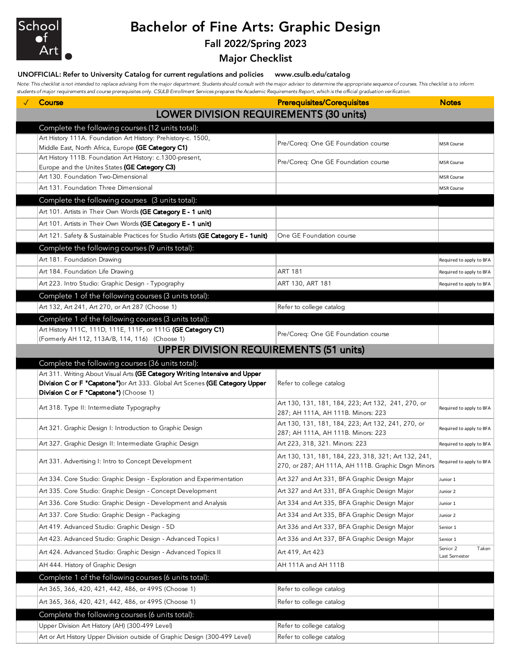

## Bachelor of Fine Arts: Graphic Design

Fall 2022/Spring 2023

Major Checklist

## UNOFFICIAL: Refer to University Catalog for current regulations and policies www.csulb.edu/catalog

*Note: This checklist is not intended to replace advising from the major department. Students should consult with the major advisor to determine the appropriate sequence of courses. This checklist is to inform students of major requirements and course prerequisites only. CSULB Enrollment Services prepares the Academic Requirements Report, which is the official graduation verification.*

| LOWER DIVISION REQUIREMENTS (30 units)<br>Complete the following courses (12 units total):<br>Art History 111A. Foundation Art History: Prehistory-c. 1500,<br>Pre/Coreq: One GE Foundation course<br><b>MSR Course</b><br>Middle East, North Africa, Europe (GE Category C1)<br>Art History 111B. Foundation Art History: c.1300-present,<br>Pre/Coreq: One GE Foundation course<br><b>MSR Course</b><br>Europe and the Unites States (GE Category C3)<br>Art 130. Foundation Two-Dimensional<br><b>MSR Course</b><br>Art 131. Foundation Three Dimensional<br><b>MSR Course</b><br>Complete the following courses (3 units total):<br>Art 101. Artists in Their Own Words (GE Category E - 1 unit)<br>Art 101. Artists in Their Own Words (GE Category E - 1 unit)<br>Art 121. Safety & Sustainable Practices for Studio Artists (GE Category E - 1unit)<br>One GE Foundation course<br>Complete the following courses (9 units total):<br>Art 181. Foundation Drawing<br>Required to apply to BFA<br>Art 184. Foundation Life Drawing<br><b>ART 181</b><br>Required to apply to BFA<br>Art 223. Intro Studio: Graphic Design - Typography<br>ART 130, ART 181<br>Required to apply to BFA<br>Complete 1 of the following courses (3 units total):<br>Art 132, Art 241, Art 270, or Art 287 (Choose 1)<br>Refer to college catalog<br>Complete 1 of the following courses (3 units total):<br>Art History 111C, 111D, 111E, 111F, or 111G (GE Category C1)<br>Pre/Coreq: One GE Foundation course<br>(Formerly AH 112, 113A/B, 114, 116) (Choose 1)<br><b>UPPER DIVISION REQUIREMENTS (51 units)</b><br>Complete the following courses (36 units total):<br>Art 311. Writing About Visual Arts (GE Category Writing Intensive and Upper<br>Division C or F "Capstone") or Art 333. Global Art Scenes (GE Category Upper<br>Refer to college catalog<br>Division C or F "Capstone") (Choose 1)<br>Art 130, 131, 181, 184, 223; Art 132, 241, 270, or<br>Art 318. Type II: Intermediate Typography<br>Required to apply to BFA<br>287; AH 111A, AH 111B. Minors: 223<br>Art 130, 131, 181, 184, 223; Art 132, 241, 270, or<br>Art 321. Graphic Design I: Introduction to Graphic Design<br>Required to apply to BFA<br>287; AH 111A, AH 111B. Minors: 223<br>Art 223, 318, 321. Minors: 223<br>Art 327. Graphic Design II: Intermediate Graphic Design<br>Required to apply to BFA<br>Art 130, 131, 181, 184, 223, 318, 321; Art 132, 241,<br>Art 331. Advertising I: Intro to Concept Development<br>Required to apply to BFA<br>270, or 287; AH 111A, AH 111B. Graphic Dsgn Minors<br>Art 334. Core Studio: Graphic Design - Exploration and Experimentation<br>Art 327 and Art 331, BFA Graphic Design Major<br>Junior 1<br>Art 335. Core Studio: Graphic Design - Concept Development<br>Art 327 and Art 331, BFA Graphic Design Major<br>Junior 2<br>Art 336. Core Studio: Graphic Design - Development and Analysis<br>Art 334 and Art 335, BFA Graphic Design Major<br>Junior 1<br>Art 337. Core Studio: Graphic Design - Packaging<br>Art 334 and Art 335, BFA Graphic Design Major<br>Junior 2<br>Art 419. Advanced Studio: Graphic Design - 5D<br>Art 336 and Art 337, BFA Graphic Design Major<br>Senior 1<br>Art 423. Advanced Studio: Graphic Design - Advanced Topics I<br>Art 336 and Art 337, BFA Graphic Design Major<br>Senior 1<br>Senior 2<br>Taken<br>Art 424. Advanced Studio: Graphic Design - Advanced Topics II<br>Art 419, Art 423<br>Last Semester<br>AH 444. History of Graphic Design<br>AH 111A and AH 111B<br>Complete 1 of the following courses (6 units total):<br>Art 365, 366, 420, 421, 442, 486, or 499S (Choose 1)<br>Refer to college catalog<br>Art 365, 366, 420, 421, 442, 486, or 499S (Choose 1)<br>Refer to college catalog<br>Complete the following courses (6 units total):<br>Upper Division Art History (AH) (300-499 Level)<br>Refer to college catalog | Course | <b>Prerequisites/Corequisites</b> | <b>Notes</b> |
|-------------------------------------------------------------------------------------------------------------------------------------------------------------------------------------------------------------------------------------------------------------------------------------------------------------------------------------------------------------------------------------------------------------------------------------------------------------------------------------------------------------------------------------------------------------------------------------------------------------------------------------------------------------------------------------------------------------------------------------------------------------------------------------------------------------------------------------------------------------------------------------------------------------------------------------------------------------------------------------------------------------------------------------------------------------------------------------------------------------------------------------------------------------------------------------------------------------------------------------------------------------------------------------------------------------------------------------------------------------------------------------------------------------------------------------------------------------------------------------------------------------------------------------------------------------------------------------------------------------------------------------------------------------------------------------------------------------------------------------------------------------------------------------------------------------------------------------------------------------------------------------------------------------------------------------------------------------------------------------------------------------------------------------------------------------------------------------------------------------------------------------------------------------------------------------------------------------------------------------------------------------------------------------------------------------------------------------------------------------------------------------------------------------------------------------------------------------------------------------------------------------------------------------------------------------------------------------------------------------------------------------------------------------------------------------------------------------------------------------------------------------------------------------------------------------------------------------------------------------------------------------------------------------------------------------------------------------------------------------------------------------------------------------------------------------------------------------------------------------------------------------------------------------------------------------------------------------------------------------------------------------------------------------------------------------------------------------------------------------------------------------------------------------------------------------------------------------------------------------------------------------------------------------------------------------------------------------------------------------------------------------------------------------------------------------------------------------------------------------------------------------------------------------------------------------------------------------------------------------------------------------------------------------|--------|-----------------------------------|--------------|
|                                                                                                                                                                                                                                                                                                                                                                                                                                                                                                                                                                                                                                                                                                                                                                                                                                                                                                                                                                                                                                                                                                                                                                                                                                                                                                                                                                                                                                                                                                                                                                                                                                                                                                                                                                                                                                                                                                                                                                                                                                                                                                                                                                                                                                                                                                                                                                                                                                                                                                                                                                                                                                                                                                                                                                                                                                                                                                                                                                                                                                                                                                                                                                                                                                                                                                                                                                                                                                                                                                                                                                                                                                                                                                                                                                                                                                                                                                             |        |                                   |              |
|                                                                                                                                                                                                                                                                                                                                                                                                                                                                                                                                                                                                                                                                                                                                                                                                                                                                                                                                                                                                                                                                                                                                                                                                                                                                                                                                                                                                                                                                                                                                                                                                                                                                                                                                                                                                                                                                                                                                                                                                                                                                                                                                                                                                                                                                                                                                                                                                                                                                                                                                                                                                                                                                                                                                                                                                                                                                                                                                                                                                                                                                                                                                                                                                                                                                                                                                                                                                                                                                                                                                                                                                                                                                                                                                                                                                                                                                                                             |        |                                   |              |
|                                                                                                                                                                                                                                                                                                                                                                                                                                                                                                                                                                                                                                                                                                                                                                                                                                                                                                                                                                                                                                                                                                                                                                                                                                                                                                                                                                                                                                                                                                                                                                                                                                                                                                                                                                                                                                                                                                                                                                                                                                                                                                                                                                                                                                                                                                                                                                                                                                                                                                                                                                                                                                                                                                                                                                                                                                                                                                                                                                                                                                                                                                                                                                                                                                                                                                                                                                                                                                                                                                                                                                                                                                                                                                                                                                                                                                                                                                             |        |                                   |              |
|                                                                                                                                                                                                                                                                                                                                                                                                                                                                                                                                                                                                                                                                                                                                                                                                                                                                                                                                                                                                                                                                                                                                                                                                                                                                                                                                                                                                                                                                                                                                                                                                                                                                                                                                                                                                                                                                                                                                                                                                                                                                                                                                                                                                                                                                                                                                                                                                                                                                                                                                                                                                                                                                                                                                                                                                                                                                                                                                                                                                                                                                                                                                                                                                                                                                                                                                                                                                                                                                                                                                                                                                                                                                                                                                                                                                                                                                                                             |        |                                   |              |
|                                                                                                                                                                                                                                                                                                                                                                                                                                                                                                                                                                                                                                                                                                                                                                                                                                                                                                                                                                                                                                                                                                                                                                                                                                                                                                                                                                                                                                                                                                                                                                                                                                                                                                                                                                                                                                                                                                                                                                                                                                                                                                                                                                                                                                                                                                                                                                                                                                                                                                                                                                                                                                                                                                                                                                                                                                                                                                                                                                                                                                                                                                                                                                                                                                                                                                                                                                                                                                                                                                                                                                                                                                                                                                                                                                                                                                                                                                             |        |                                   |              |
|                                                                                                                                                                                                                                                                                                                                                                                                                                                                                                                                                                                                                                                                                                                                                                                                                                                                                                                                                                                                                                                                                                                                                                                                                                                                                                                                                                                                                                                                                                                                                                                                                                                                                                                                                                                                                                                                                                                                                                                                                                                                                                                                                                                                                                                                                                                                                                                                                                                                                                                                                                                                                                                                                                                                                                                                                                                                                                                                                                                                                                                                                                                                                                                                                                                                                                                                                                                                                                                                                                                                                                                                                                                                                                                                                                                                                                                                                                             |        |                                   |              |
|                                                                                                                                                                                                                                                                                                                                                                                                                                                                                                                                                                                                                                                                                                                                                                                                                                                                                                                                                                                                                                                                                                                                                                                                                                                                                                                                                                                                                                                                                                                                                                                                                                                                                                                                                                                                                                                                                                                                                                                                                                                                                                                                                                                                                                                                                                                                                                                                                                                                                                                                                                                                                                                                                                                                                                                                                                                                                                                                                                                                                                                                                                                                                                                                                                                                                                                                                                                                                                                                                                                                                                                                                                                                                                                                                                                                                                                                                                             |        |                                   |              |
|                                                                                                                                                                                                                                                                                                                                                                                                                                                                                                                                                                                                                                                                                                                                                                                                                                                                                                                                                                                                                                                                                                                                                                                                                                                                                                                                                                                                                                                                                                                                                                                                                                                                                                                                                                                                                                                                                                                                                                                                                                                                                                                                                                                                                                                                                                                                                                                                                                                                                                                                                                                                                                                                                                                                                                                                                                                                                                                                                                                                                                                                                                                                                                                                                                                                                                                                                                                                                                                                                                                                                                                                                                                                                                                                                                                                                                                                                                             |        |                                   |              |
|                                                                                                                                                                                                                                                                                                                                                                                                                                                                                                                                                                                                                                                                                                                                                                                                                                                                                                                                                                                                                                                                                                                                                                                                                                                                                                                                                                                                                                                                                                                                                                                                                                                                                                                                                                                                                                                                                                                                                                                                                                                                                                                                                                                                                                                                                                                                                                                                                                                                                                                                                                                                                                                                                                                                                                                                                                                                                                                                                                                                                                                                                                                                                                                                                                                                                                                                                                                                                                                                                                                                                                                                                                                                                                                                                                                                                                                                                                             |        |                                   |              |
|                                                                                                                                                                                                                                                                                                                                                                                                                                                                                                                                                                                                                                                                                                                                                                                                                                                                                                                                                                                                                                                                                                                                                                                                                                                                                                                                                                                                                                                                                                                                                                                                                                                                                                                                                                                                                                                                                                                                                                                                                                                                                                                                                                                                                                                                                                                                                                                                                                                                                                                                                                                                                                                                                                                                                                                                                                                                                                                                                                                                                                                                                                                                                                                                                                                                                                                                                                                                                                                                                                                                                                                                                                                                                                                                                                                                                                                                                                             |        |                                   |              |
|                                                                                                                                                                                                                                                                                                                                                                                                                                                                                                                                                                                                                                                                                                                                                                                                                                                                                                                                                                                                                                                                                                                                                                                                                                                                                                                                                                                                                                                                                                                                                                                                                                                                                                                                                                                                                                                                                                                                                                                                                                                                                                                                                                                                                                                                                                                                                                                                                                                                                                                                                                                                                                                                                                                                                                                                                                                                                                                                                                                                                                                                                                                                                                                                                                                                                                                                                                                                                                                                                                                                                                                                                                                                                                                                                                                                                                                                                                             |        |                                   |              |
|                                                                                                                                                                                                                                                                                                                                                                                                                                                                                                                                                                                                                                                                                                                                                                                                                                                                                                                                                                                                                                                                                                                                                                                                                                                                                                                                                                                                                                                                                                                                                                                                                                                                                                                                                                                                                                                                                                                                                                                                                                                                                                                                                                                                                                                                                                                                                                                                                                                                                                                                                                                                                                                                                                                                                                                                                                                                                                                                                                                                                                                                                                                                                                                                                                                                                                                                                                                                                                                                                                                                                                                                                                                                                                                                                                                                                                                                                                             |        |                                   |              |
|                                                                                                                                                                                                                                                                                                                                                                                                                                                                                                                                                                                                                                                                                                                                                                                                                                                                                                                                                                                                                                                                                                                                                                                                                                                                                                                                                                                                                                                                                                                                                                                                                                                                                                                                                                                                                                                                                                                                                                                                                                                                                                                                                                                                                                                                                                                                                                                                                                                                                                                                                                                                                                                                                                                                                                                                                                                                                                                                                                                                                                                                                                                                                                                                                                                                                                                                                                                                                                                                                                                                                                                                                                                                                                                                                                                                                                                                                                             |        |                                   |              |
|                                                                                                                                                                                                                                                                                                                                                                                                                                                                                                                                                                                                                                                                                                                                                                                                                                                                                                                                                                                                                                                                                                                                                                                                                                                                                                                                                                                                                                                                                                                                                                                                                                                                                                                                                                                                                                                                                                                                                                                                                                                                                                                                                                                                                                                                                                                                                                                                                                                                                                                                                                                                                                                                                                                                                                                                                                                                                                                                                                                                                                                                                                                                                                                                                                                                                                                                                                                                                                                                                                                                                                                                                                                                                                                                                                                                                                                                                                             |        |                                   |              |
|                                                                                                                                                                                                                                                                                                                                                                                                                                                                                                                                                                                                                                                                                                                                                                                                                                                                                                                                                                                                                                                                                                                                                                                                                                                                                                                                                                                                                                                                                                                                                                                                                                                                                                                                                                                                                                                                                                                                                                                                                                                                                                                                                                                                                                                                                                                                                                                                                                                                                                                                                                                                                                                                                                                                                                                                                                                                                                                                                                                                                                                                                                                                                                                                                                                                                                                                                                                                                                                                                                                                                                                                                                                                                                                                                                                                                                                                                                             |        |                                   |              |
|                                                                                                                                                                                                                                                                                                                                                                                                                                                                                                                                                                                                                                                                                                                                                                                                                                                                                                                                                                                                                                                                                                                                                                                                                                                                                                                                                                                                                                                                                                                                                                                                                                                                                                                                                                                                                                                                                                                                                                                                                                                                                                                                                                                                                                                                                                                                                                                                                                                                                                                                                                                                                                                                                                                                                                                                                                                                                                                                                                                                                                                                                                                                                                                                                                                                                                                                                                                                                                                                                                                                                                                                                                                                                                                                                                                                                                                                                                             |        |                                   |              |
|                                                                                                                                                                                                                                                                                                                                                                                                                                                                                                                                                                                                                                                                                                                                                                                                                                                                                                                                                                                                                                                                                                                                                                                                                                                                                                                                                                                                                                                                                                                                                                                                                                                                                                                                                                                                                                                                                                                                                                                                                                                                                                                                                                                                                                                                                                                                                                                                                                                                                                                                                                                                                                                                                                                                                                                                                                                                                                                                                                                                                                                                                                                                                                                                                                                                                                                                                                                                                                                                                                                                                                                                                                                                                                                                                                                                                                                                                                             |        |                                   |              |
|                                                                                                                                                                                                                                                                                                                                                                                                                                                                                                                                                                                                                                                                                                                                                                                                                                                                                                                                                                                                                                                                                                                                                                                                                                                                                                                                                                                                                                                                                                                                                                                                                                                                                                                                                                                                                                                                                                                                                                                                                                                                                                                                                                                                                                                                                                                                                                                                                                                                                                                                                                                                                                                                                                                                                                                                                                                                                                                                                                                                                                                                                                                                                                                                                                                                                                                                                                                                                                                                                                                                                                                                                                                                                                                                                                                                                                                                                                             |        |                                   |              |
|                                                                                                                                                                                                                                                                                                                                                                                                                                                                                                                                                                                                                                                                                                                                                                                                                                                                                                                                                                                                                                                                                                                                                                                                                                                                                                                                                                                                                                                                                                                                                                                                                                                                                                                                                                                                                                                                                                                                                                                                                                                                                                                                                                                                                                                                                                                                                                                                                                                                                                                                                                                                                                                                                                                                                                                                                                                                                                                                                                                                                                                                                                                                                                                                                                                                                                                                                                                                                                                                                                                                                                                                                                                                                                                                                                                                                                                                                                             |        |                                   |              |
|                                                                                                                                                                                                                                                                                                                                                                                                                                                                                                                                                                                                                                                                                                                                                                                                                                                                                                                                                                                                                                                                                                                                                                                                                                                                                                                                                                                                                                                                                                                                                                                                                                                                                                                                                                                                                                                                                                                                                                                                                                                                                                                                                                                                                                                                                                                                                                                                                                                                                                                                                                                                                                                                                                                                                                                                                                                                                                                                                                                                                                                                                                                                                                                                                                                                                                                                                                                                                                                                                                                                                                                                                                                                                                                                                                                                                                                                                                             |        |                                   |              |
|                                                                                                                                                                                                                                                                                                                                                                                                                                                                                                                                                                                                                                                                                                                                                                                                                                                                                                                                                                                                                                                                                                                                                                                                                                                                                                                                                                                                                                                                                                                                                                                                                                                                                                                                                                                                                                                                                                                                                                                                                                                                                                                                                                                                                                                                                                                                                                                                                                                                                                                                                                                                                                                                                                                                                                                                                                                                                                                                                                                                                                                                                                                                                                                                                                                                                                                                                                                                                                                                                                                                                                                                                                                                                                                                                                                                                                                                                                             |        |                                   |              |
|                                                                                                                                                                                                                                                                                                                                                                                                                                                                                                                                                                                                                                                                                                                                                                                                                                                                                                                                                                                                                                                                                                                                                                                                                                                                                                                                                                                                                                                                                                                                                                                                                                                                                                                                                                                                                                                                                                                                                                                                                                                                                                                                                                                                                                                                                                                                                                                                                                                                                                                                                                                                                                                                                                                                                                                                                                                                                                                                                                                                                                                                                                                                                                                                                                                                                                                                                                                                                                                                                                                                                                                                                                                                                                                                                                                                                                                                                                             |        |                                   |              |
|                                                                                                                                                                                                                                                                                                                                                                                                                                                                                                                                                                                                                                                                                                                                                                                                                                                                                                                                                                                                                                                                                                                                                                                                                                                                                                                                                                                                                                                                                                                                                                                                                                                                                                                                                                                                                                                                                                                                                                                                                                                                                                                                                                                                                                                                                                                                                                                                                                                                                                                                                                                                                                                                                                                                                                                                                                                                                                                                                                                                                                                                                                                                                                                                                                                                                                                                                                                                                                                                                                                                                                                                                                                                                                                                                                                                                                                                                                             |        |                                   |              |
|                                                                                                                                                                                                                                                                                                                                                                                                                                                                                                                                                                                                                                                                                                                                                                                                                                                                                                                                                                                                                                                                                                                                                                                                                                                                                                                                                                                                                                                                                                                                                                                                                                                                                                                                                                                                                                                                                                                                                                                                                                                                                                                                                                                                                                                                                                                                                                                                                                                                                                                                                                                                                                                                                                                                                                                                                                                                                                                                                                                                                                                                                                                                                                                                                                                                                                                                                                                                                                                                                                                                                                                                                                                                                                                                                                                                                                                                                                             |        |                                   |              |
|                                                                                                                                                                                                                                                                                                                                                                                                                                                                                                                                                                                                                                                                                                                                                                                                                                                                                                                                                                                                                                                                                                                                                                                                                                                                                                                                                                                                                                                                                                                                                                                                                                                                                                                                                                                                                                                                                                                                                                                                                                                                                                                                                                                                                                                                                                                                                                                                                                                                                                                                                                                                                                                                                                                                                                                                                                                                                                                                                                                                                                                                                                                                                                                                                                                                                                                                                                                                                                                                                                                                                                                                                                                                                                                                                                                                                                                                                                             |        |                                   |              |
|                                                                                                                                                                                                                                                                                                                                                                                                                                                                                                                                                                                                                                                                                                                                                                                                                                                                                                                                                                                                                                                                                                                                                                                                                                                                                                                                                                                                                                                                                                                                                                                                                                                                                                                                                                                                                                                                                                                                                                                                                                                                                                                                                                                                                                                                                                                                                                                                                                                                                                                                                                                                                                                                                                                                                                                                                                                                                                                                                                                                                                                                                                                                                                                                                                                                                                                                                                                                                                                                                                                                                                                                                                                                                                                                                                                                                                                                                                             |        |                                   |              |
|                                                                                                                                                                                                                                                                                                                                                                                                                                                                                                                                                                                                                                                                                                                                                                                                                                                                                                                                                                                                                                                                                                                                                                                                                                                                                                                                                                                                                                                                                                                                                                                                                                                                                                                                                                                                                                                                                                                                                                                                                                                                                                                                                                                                                                                                                                                                                                                                                                                                                                                                                                                                                                                                                                                                                                                                                                                                                                                                                                                                                                                                                                                                                                                                                                                                                                                                                                                                                                                                                                                                                                                                                                                                                                                                                                                                                                                                                                             |        |                                   |              |
|                                                                                                                                                                                                                                                                                                                                                                                                                                                                                                                                                                                                                                                                                                                                                                                                                                                                                                                                                                                                                                                                                                                                                                                                                                                                                                                                                                                                                                                                                                                                                                                                                                                                                                                                                                                                                                                                                                                                                                                                                                                                                                                                                                                                                                                                                                                                                                                                                                                                                                                                                                                                                                                                                                                                                                                                                                                                                                                                                                                                                                                                                                                                                                                                                                                                                                                                                                                                                                                                                                                                                                                                                                                                                                                                                                                                                                                                                                             |        |                                   |              |
|                                                                                                                                                                                                                                                                                                                                                                                                                                                                                                                                                                                                                                                                                                                                                                                                                                                                                                                                                                                                                                                                                                                                                                                                                                                                                                                                                                                                                                                                                                                                                                                                                                                                                                                                                                                                                                                                                                                                                                                                                                                                                                                                                                                                                                                                                                                                                                                                                                                                                                                                                                                                                                                                                                                                                                                                                                                                                                                                                                                                                                                                                                                                                                                                                                                                                                                                                                                                                                                                                                                                                                                                                                                                                                                                                                                                                                                                                                             |        |                                   |              |
|                                                                                                                                                                                                                                                                                                                                                                                                                                                                                                                                                                                                                                                                                                                                                                                                                                                                                                                                                                                                                                                                                                                                                                                                                                                                                                                                                                                                                                                                                                                                                                                                                                                                                                                                                                                                                                                                                                                                                                                                                                                                                                                                                                                                                                                                                                                                                                                                                                                                                                                                                                                                                                                                                                                                                                                                                                                                                                                                                                                                                                                                                                                                                                                                                                                                                                                                                                                                                                                                                                                                                                                                                                                                                                                                                                                                                                                                                                             |        |                                   |              |
|                                                                                                                                                                                                                                                                                                                                                                                                                                                                                                                                                                                                                                                                                                                                                                                                                                                                                                                                                                                                                                                                                                                                                                                                                                                                                                                                                                                                                                                                                                                                                                                                                                                                                                                                                                                                                                                                                                                                                                                                                                                                                                                                                                                                                                                                                                                                                                                                                                                                                                                                                                                                                                                                                                                                                                                                                                                                                                                                                                                                                                                                                                                                                                                                                                                                                                                                                                                                                                                                                                                                                                                                                                                                                                                                                                                                                                                                                                             |        |                                   |              |
|                                                                                                                                                                                                                                                                                                                                                                                                                                                                                                                                                                                                                                                                                                                                                                                                                                                                                                                                                                                                                                                                                                                                                                                                                                                                                                                                                                                                                                                                                                                                                                                                                                                                                                                                                                                                                                                                                                                                                                                                                                                                                                                                                                                                                                                                                                                                                                                                                                                                                                                                                                                                                                                                                                                                                                                                                                                                                                                                                                                                                                                                                                                                                                                                                                                                                                                                                                                                                                                                                                                                                                                                                                                                                                                                                                                                                                                                                                             |        |                                   |              |
|                                                                                                                                                                                                                                                                                                                                                                                                                                                                                                                                                                                                                                                                                                                                                                                                                                                                                                                                                                                                                                                                                                                                                                                                                                                                                                                                                                                                                                                                                                                                                                                                                                                                                                                                                                                                                                                                                                                                                                                                                                                                                                                                                                                                                                                                                                                                                                                                                                                                                                                                                                                                                                                                                                                                                                                                                                                                                                                                                                                                                                                                                                                                                                                                                                                                                                                                                                                                                                                                                                                                                                                                                                                                                                                                                                                                                                                                                                             |        |                                   |              |
|                                                                                                                                                                                                                                                                                                                                                                                                                                                                                                                                                                                                                                                                                                                                                                                                                                                                                                                                                                                                                                                                                                                                                                                                                                                                                                                                                                                                                                                                                                                                                                                                                                                                                                                                                                                                                                                                                                                                                                                                                                                                                                                                                                                                                                                                                                                                                                                                                                                                                                                                                                                                                                                                                                                                                                                                                                                                                                                                                                                                                                                                                                                                                                                                                                                                                                                                                                                                                                                                                                                                                                                                                                                                                                                                                                                                                                                                                                             |        |                                   |              |
|                                                                                                                                                                                                                                                                                                                                                                                                                                                                                                                                                                                                                                                                                                                                                                                                                                                                                                                                                                                                                                                                                                                                                                                                                                                                                                                                                                                                                                                                                                                                                                                                                                                                                                                                                                                                                                                                                                                                                                                                                                                                                                                                                                                                                                                                                                                                                                                                                                                                                                                                                                                                                                                                                                                                                                                                                                                                                                                                                                                                                                                                                                                                                                                                                                                                                                                                                                                                                                                                                                                                                                                                                                                                                                                                                                                                                                                                                                             |        |                                   |              |
|                                                                                                                                                                                                                                                                                                                                                                                                                                                                                                                                                                                                                                                                                                                                                                                                                                                                                                                                                                                                                                                                                                                                                                                                                                                                                                                                                                                                                                                                                                                                                                                                                                                                                                                                                                                                                                                                                                                                                                                                                                                                                                                                                                                                                                                                                                                                                                                                                                                                                                                                                                                                                                                                                                                                                                                                                                                                                                                                                                                                                                                                                                                                                                                                                                                                                                                                                                                                                                                                                                                                                                                                                                                                                                                                                                                                                                                                                                             |        |                                   |              |
|                                                                                                                                                                                                                                                                                                                                                                                                                                                                                                                                                                                                                                                                                                                                                                                                                                                                                                                                                                                                                                                                                                                                                                                                                                                                                                                                                                                                                                                                                                                                                                                                                                                                                                                                                                                                                                                                                                                                                                                                                                                                                                                                                                                                                                                                                                                                                                                                                                                                                                                                                                                                                                                                                                                                                                                                                                                                                                                                                                                                                                                                                                                                                                                                                                                                                                                                                                                                                                                                                                                                                                                                                                                                                                                                                                                                                                                                                                             |        |                                   |              |
|                                                                                                                                                                                                                                                                                                                                                                                                                                                                                                                                                                                                                                                                                                                                                                                                                                                                                                                                                                                                                                                                                                                                                                                                                                                                                                                                                                                                                                                                                                                                                                                                                                                                                                                                                                                                                                                                                                                                                                                                                                                                                                                                                                                                                                                                                                                                                                                                                                                                                                                                                                                                                                                                                                                                                                                                                                                                                                                                                                                                                                                                                                                                                                                                                                                                                                                                                                                                                                                                                                                                                                                                                                                                                                                                                                                                                                                                                                             |        |                                   |              |
|                                                                                                                                                                                                                                                                                                                                                                                                                                                                                                                                                                                                                                                                                                                                                                                                                                                                                                                                                                                                                                                                                                                                                                                                                                                                                                                                                                                                                                                                                                                                                                                                                                                                                                                                                                                                                                                                                                                                                                                                                                                                                                                                                                                                                                                                                                                                                                                                                                                                                                                                                                                                                                                                                                                                                                                                                                                                                                                                                                                                                                                                                                                                                                                                                                                                                                                                                                                                                                                                                                                                                                                                                                                                                                                                                                                                                                                                                                             |        |                                   |              |
|                                                                                                                                                                                                                                                                                                                                                                                                                                                                                                                                                                                                                                                                                                                                                                                                                                                                                                                                                                                                                                                                                                                                                                                                                                                                                                                                                                                                                                                                                                                                                                                                                                                                                                                                                                                                                                                                                                                                                                                                                                                                                                                                                                                                                                                                                                                                                                                                                                                                                                                                                                                                                                                                                                                                                                                                                                                                                                                                                                                                                                                                                                                                                                                                                                                                                                                                                                                                                                                                                                                                                                                                                                                                                                                                                                                                                                                                                                             |        |                                   |              |
|                                                                                                                                                                                                                                                                                                                                                                                                                                                                                                                                                                                                                                                                                                                                                                                                                                                                                                                                                                                                                                                                                                                                                                                                                                                                                                                                                                                                                                                                                                                                                                                                                                                                                                                                                                                                                                                                                                                                                                                                                                                                                                                                                                                                                                                                                                                                                                                                                                                                                                                                                                                                                                                                                                                                                                                                                                                                                                                                                                                                                                                                                                                                                                                                                                                                                                                                                                                                                                                                                                                                                                                                                                                                                                                                                                                                                                                                                                             |        |                                   |              |
| Art or Art History Upper Division outside of Graphic Design (300-499 Level)<br>Refer to college catalog                                                                                                                                                                                                                                                                                                                                                                                                                                                                                                                                                                                                                                                                                                                                                                                                                                                                                                                                                                                                                                                                                                                                                                                                                                                                                                                                                                                                                                                                                                                                                                                                                                                                                                                                                                                                                                                                                                                                                                                                                                                                                                                                                                                                                                                                                                                                                                                                                                                                                                                                                                                                                                                                                                                                                                                                                                                                                                                                                                                                                                                                                                                                                                                                                                                                                                                                                                                                                                                                                                                                                                                                                                                                                                                                                                                                     |        |                                   |              |